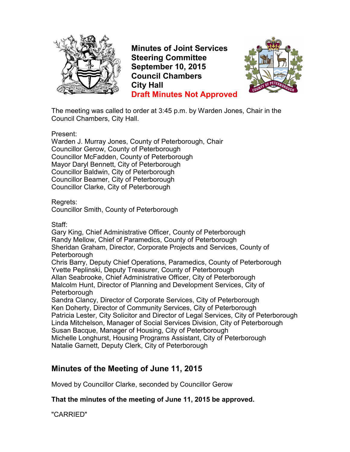

**Minutes of Joint Services Steering Committee September 10, 2015 Council Chambers City Hall Draft Minutes Not Approved**



The meeting was called to order at 3:45 p.m. by Warden Jones, Chair in the Council Chambers, City Hall.

Present:

Warden J. Murray Jones, County of Peterborough, Chair Councillor Gerow, County of Peterborough Councillor McFadden, County of Peterborough Mayor Daryl Bennett, City of Peterborough Councillor Baldwin, City of Peterborough Councillor Beamer, City of Peterborough Councillor Clarke, City of Peterborough

Regrets:

Councillor Smith, County of Peterborough

Staff:

Gary King, Chief Administrative Officer, County of Peterborough Randy Mellow, Chief of Paramedics, County of Peterborough Sheridan Graham, Director, Corporate Projects and Services, County of **Peterborough** Chris Barry, Deputy Chief Operations, Paramedics, County of Peterborough

Yvette Peplinski, Deputy Treasurer, County of Peterborough Allan Seabrooke, Chief Administrative Officer, City of Peterborough Malcolm Hunt, Director of Planning and Development Services, City of Peterborough

Sandra Clancy, Director of Corporate Services, City of Peterborough Ken Doherty, Director of Community Services, City of Peterborough Patricia Lester, City Solicitor and Director of Legal Services, City of Peterborough Linda Mitchelson, Manager of Social Services Division, City of Peterborough Susan Bacque, Manager of Housing, City of Peterborough Michelle Longhurst, Housing Programs Assistant, City of Peterborough Natalie Garnett, Deputy Clerk, City of Peterborough

# **Minutes of the Meeting of June 11, 2015**

Moved by Councillor Clarke, seconded by Councillor Gerow

**That the minutes of the meeting of June 11, 2015 be approved.** 

"CARRIED"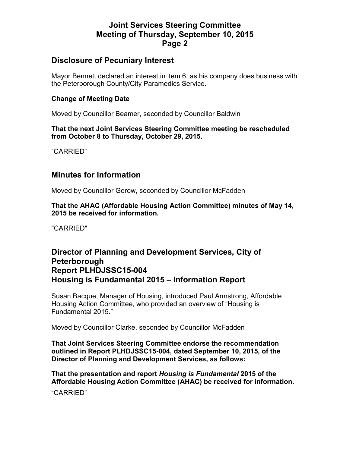### **Joint Services Steering Committee Meeting of Thursday, September 10, 2015 Page 2**

### **Disclosure of Pecuniary Interest**

Mayor Bennett declared an interest in item 6, as his company does business with the Peterborough County/City Paramedics Service.

#### **Change of Meeting Date**

Moved by Councillor Beamer, seconded by Councillor Baldwin

**That the next Joint Services Steering Committee meeting be rescheduled from October 8 to Thursday, October 29, 2015.** 

"CARRIED"

### **Minutes for Information**

Moved by Councillor Gerow, seconded by Councillor McFadden

**That the AHAC (Affordable Housing Action Committee) minutes of May 14, 2015 be received for information.** 

"CARRIED"

### **Director of Planning and Development Services, City of Peterborough Report PLHDJSSC15-004 Housing is Fundamental 2015 – Information Report**

Susan Bacque, Manager of Housing, introduced Paul Armstrong, Affordable Housing Action Committee, who provided an overview of "Housing is Fundamental 2015."

Moved by Councillor Clarke, seconded by Councillor McFadden

**That Joint Services Steering Committee endorse the recommendation outlined in Report PLHDJSSC15-004, dated September 10, 2015, of the Director of Planning and Development Services, as follows:** 

**That the presentation and report** *Housing is Fundamental* **2015 of the Affordable Housing Action Committee (AHAC) be received for information.** 

"CARRIED"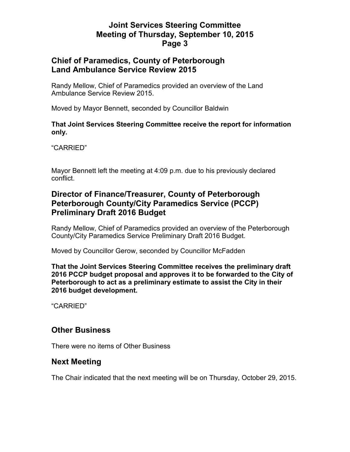# **Joint Services Steering Committee Meeting of Thursday, September 10, 2015 Page 3**

### **Chief of Paramedics, County of Peterborough Land Ambulance Service Review 2015**

Randy Mellow, Chief of Paramedics provided an overview of the Land Ambulance Service Review 2015.

Moved by Mayor Bennett, seconded by Councillor Baldwin

#### **That Joint Services Steering Committee receive the report for information only.**

"CARRIED"

Mayor Bennett left the meeting at 4:09 p.m. due to his previously declared conflict.

# **Director of Finance/Treasurer, County of Peterborough Peterborough County/City Paramedics Service (PCCP) Preliminary Draft 2016 Budget**

Randy Mellow, Chief of Paramedics provided an overview of the Peterborough County/City Paramedics Service Preliminary Draft 2016 Budget.

Moved by Councillor Gerow, seconded by Councillor McFadden

**That the Joint Services Steering Committee receives the preliminary draft 2016 PCCP budget proposal and approves it to be forwarded to the City of Peterborough to act as a preliminary estimate to assist the City in their 2016 budget development.** 

"CARRIED"

# **Other Business**

There were no items of Other Business

# **Next Meeting**

The Chair indicated that the next meeting will be on Thursday, October 29, 2015.